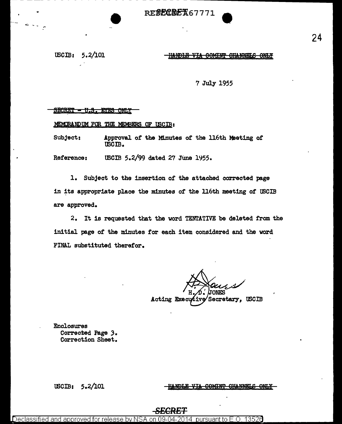RE**SECREX67771** 

#### tBCIB: 5.2/101

#### HANDLE VIA COMINT CHANNELS ONLY

7 July 1955

#### <u> SECRET - U.S. EYES ONLY</u>

MEMORANDUM FOR THE MEMBERS OF USCIB:

Subject: Approval of the Minutes of the 116th Meeting of tBCIB.

Reference: USCIB 5.2/99 dated 27 June 1955.

l. Subject to the insertion of the attached corrected page in its appropriate place the minutes of the ll6th meeting of USCIB are approved.

2. It is requested that the word TENTATIVE be deleted from the initial page or the minutes for each item considered and the word FINAL substituted therefor.

Acting Executive Secretary, USCIB

Enclosures Corrected Page 3. Correction Sheet.

tBCIB: 5.2/101

HANDLE VIA COMINT CHANNELS ONLY

# **SECRET**

Declassified and approved for release by NSA on 09-04-2014 pursuant to E.O. 13526